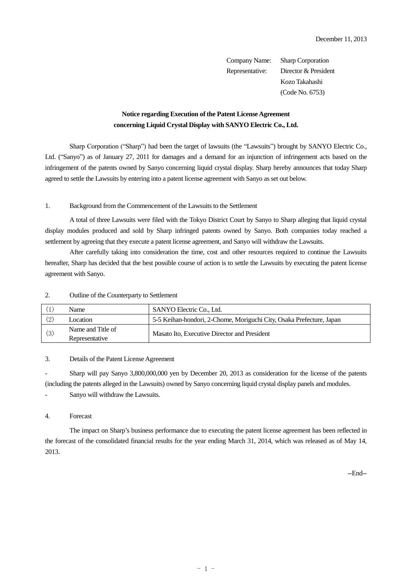Company Name: Sharp Corporation Representative: Director & President Kozo Takahashi (Code No. 6753)

# **Notice regarding Execution of the Patent License Agreement concerning Liquid Crystal Display with SANYO Electric Co., Ltd.**

Sharp Corporation ("Sharp") had been the target of lawsuits (the "Lawsuits") brought by SANYO Electric Co., Ltd. ("Sanyo") as of January 27, 2011 for damages and a demand for an injunction of infringement acts based on the infringement of the patents owned by Sanyo concerning liquid crystal display. Sharp hereby announces that today Sharp agreed to settle the Lawsuits by entering into a patent license agreement with Sanyo as set out below.

## 1. Background from the Commencement of the Lawsuits to the Settlement

A total of three Lawsuits were filed with the Tokyo District Court by Sanyo to Sharp alleging that liquid crystal display modules produced and sold by Sharp infringed patents owned by Sanyo. Both companies today reached a settlement by agreeing that they execute a patent license agreement, and Sanyo will withdraw the Lawsuits.

After carefully taking into consideration the time, cost and other resources required to continue the Lawsuits hereafter, Sharp has decided that the best possible course of action is to settle the Lawsuits by executing the patent license agreement with Sanyo.

|     | Name                                | SANYO Electric Co., Ltd.                                             |  |  |
|-----|-------------------------------------|----------------------------------------------------------------------|--|--|
| (2) | Location                            | 5-5 Keihan-hondori, 2-Chome, Moriguchi City, Osaka Prefecture, Japan |  |  |
| (3) | Name and Title of<br>Representative | Masato Ito, Executive Director and President                         |  |  |

#### 2. Outline of the Counterparty to Settlement

# 3. Details of the Patent License Agreement

- Sharp will pay Sanyo 3,800,000,000 yen by December 20, 2013 as consideration for the license of the patents (including the patents alleged in the Lawsuits) owned by Sanyo concerning liquid crystal display panels and modules. - Sanyo will withdraw the Lawsuits.

### 4. Forecast

The impact on Sharp's business performance due to executing the patent license agreement has been reflected in the forecast of the consolidated financial results for the year ending March 31, 2014, which was released as of May 14, 2013.

--End--